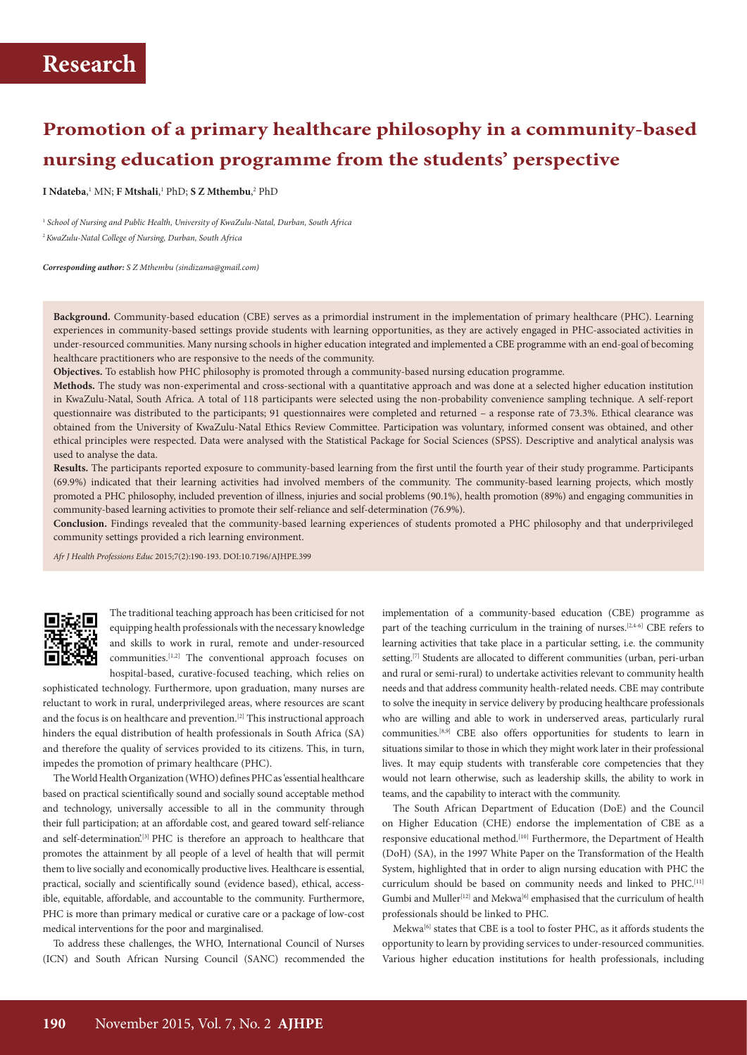# **Promotion of a primary healthcare philosophy in a community-based nursing education programme from the students' perspective**

**I** Ndateba,<sup>1</sup> MN; **F Mtshali**,<sup>1</sup> PhD; **S Z Mthembu**,<sup>2</sup> PhD

<sup>1</sup> School of Nursing and Public Health, University of KwaZulu-Natal, Durban, South Africa <sup>2</sup>*KwaZulu-Natal College of Nursing, Durban, South Africa*

*Corresponding author: S Z Mthembu (sindizama@gmail.com)*

**Background.** Community-based education (CBE) serves as a primordial instrument in the implementation of primary healthcare (PHC). Learning experiences in community-based settings provide students with learning opportunities, as they are actively engaged in PHC-associated activities in under-resourced communities. Many nursing schools in higher education integrated and implemented a CBE programme with an end-goal of becoming healthcare practitioners who are responsive to the needs of the community.

**Objectives.** To establish how PHC philosophy is promoted through a community-based nursing education programme.

**Methods.** The study was non-experimental and cross-sectional with a quantitative approach and was done at a selected higher education institution in KwaZulu-Natal, South Africa. A total of 118 participants were selected using the non-probability convenience sampling technique. A self-report questionnaire was distributed to the participants; 91 questionnaires were completed and returned – a response rate of 73.3%. Ethical clearance was obtained from the University of KwaZulu-Natal Ethics Review Committee. Participation was voluntary, informed consent was obtained, and other ethical principles were respected. Data were analysed with the Statistical Package for Social Sciences (SPSS). Descriptive and analytical analysis was used to analyse the data.

**Results.** The participants reported exposure to community-based learning from the first until the fourth year of their study programme. Participants (69.9%) indicated that their learning activities had involved members of the community. The community-based learning projects, which mostly promoted a PHC philosophy, included prevention of illness, injuries and social problems (90.1%), health promotion (89%) and engaging communities in community-based learning activities to promote their self-reliance and self-determination (76.9%).

**Conclusion.** Findings revealed that the community-based learning experiences of students promoted a PHC philosophy and that underprivileged community settings provided a rich learning environment.

*Afr J Health Professions Educ* 2015;7(2):190-193. DOI:10.7196/AJHPE.399



The traditional teaching approach has been criticised for not equipping health professionals with the necessary knowledge and skills to work in rural, remote and under-resourced communities.[1,2] The conventional approach focuses on hospital-based, curative-focused teaching, which relies on

sophisticated technology. Furthermore, upon graduation, many nurses are reluctant to work in rural, underprivileged areas, where resources are scant and the focus is on healthcare and prevention.<sup>[2]</sup> This instructional approach hinders the equal distribution of health professionals in South Africa (SA) and therefore the quality of services provided to its citizens. This, in turn, impedes the promotion of primary healthcare (PHC).

The World Health Organization (WHO) defines PHC as 'essential healthcare based on practical scientifically sound and socially sound acceptable method and technology, universally accessible to all in the community through their full participation; at an affordable cost, and geared toward self-reliance and self-determination.<sup>[3]</sup> PHC is therefore an approach to healthcare that promotes the attainment by all people of a level of health that will permit them to live socially and economically productive lives. Healthcare is essential, practical, socially and scientifically sound (evidence based), ethical, accessible, equitable, affordable, and accountable to the community. Furthermore, PHC is more than primary medical or curative care or a package of low-cost medical interventions for the poor and marginalised.

To address these challenges, the WHO, International Council of Nurses (ICN) and South African Nursing Council (SANC) recommended the

implementation of a community-based education (CBE) programme as part of the teaching curriculum in the training of nurses.<sup>[2,4-6]</sup> CBE refers to learning activities that take place in a particular setting, i.e. the community setting.<sup>[7]</sup> Students are allocated to different communities (urban, peri-urban and rural or semi-rural) to undertake activities relevant to community health needs and that address community health-related needs. CBE may contribute to solve the inequity in service delivery by producing healthcare professionals who are willing and able to work in underserved areas, particularly rural communities.[8,9] CBE also offers opportunities for students to learn in situations similar to those in which they might work later in their professional lives. It may equip students with transferable core competencies that they would not learn otherwise, such as leadership skills, the ability to work in teams, and the capability to interact with the community.

The South African Department of Education (DoE) and the Council on Higher Education (CHE) endorse the implementation of CBE as a responsive educational method.<sup>[10]</sup> Furthermore, the Department of Health (DoH) (SA), in the 1997 White Paper on the Transformation of the Health System, highlighted that in order to align nursing education with PHC the curriculum should be based on community needs and linked to PHC.<sup>[11]</sup> Gumbi and Muller<sup>[12]</sup> and Mekwa<sup>[6]</sup> emphasised that the curriculum of health professionals should be linked to PHC.

Mekwa[6] states that CBE is a tool to foster PHC, as it affords students the opportunity to learn by providing services to under-resourced communities. Various higher education institutions for health professionals, including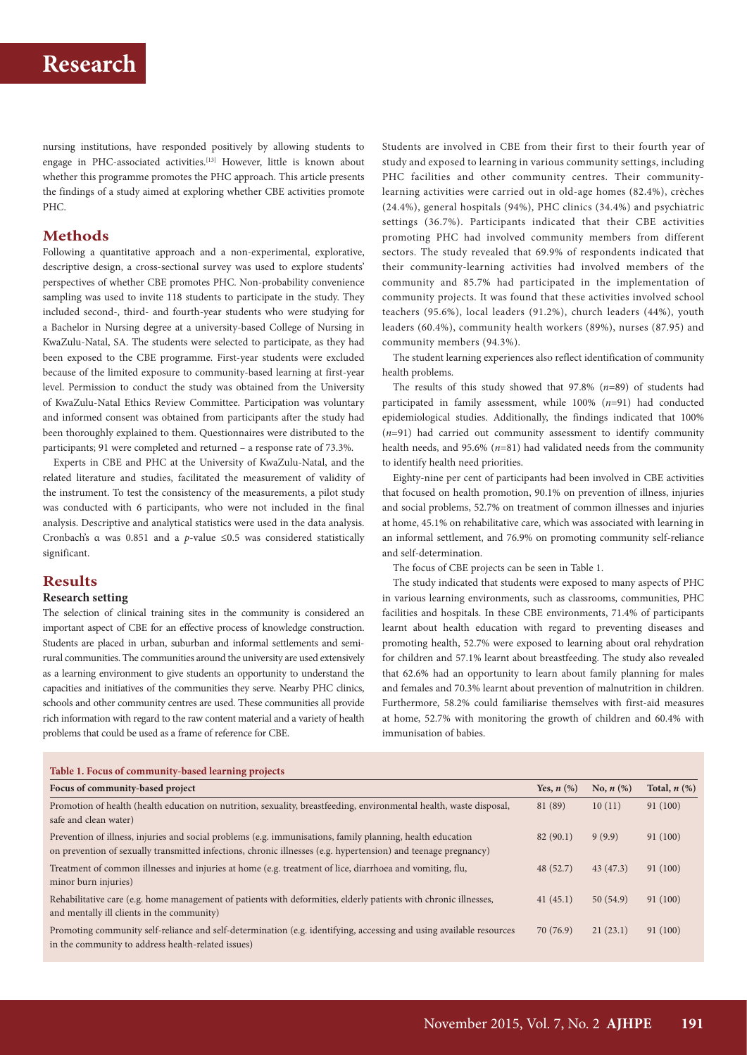## **Research**

nursing institutions, have responded positively by allowing students to engage in PHC-associated activities.<sup>[13]</sup> However, little is known about whether this programme promotes the PHC approach. This article presents the findings of a study aimed at exploring whether CBE activities promote PHC.

### **Methods**

Following a quantitative approach and a non-experimental, explorative, descriptive design, a cross-sectional survey was used to explore students' perspectives of whether CBE promotes PHC. Non-probability convenience sampling was used to invite 118 students to participate in the study. They included second-, third- and fourth-year students who were studying for a Bachelor in Nursing degree at a university-based College of Nursing in KwaZulu-Natal, SA. The students were selected to participate, as they had been exposed to the CBE programme. First-year students were excluded because of the limited exposure to community-based learning at first-year level. Permission to conduct the study was obtained from the University of KwaZulu-Natal Ethics Review Committee. Participation was voluntary and informed consent was obtained from participants after the study had been thoroughly explained to them. Questionnaires were distributed to the participants; 91 were completed and returned – a response rate of 73.3%.

Experts in CBE and PHC at the University of KwaZulu-Natal, and the related literature and studies, facilitated the measurement of validity of the instrument. To test the consistency of the measurements, a pilot study was conducted with 6 participants, who were not included in the final analysis. Descriptive and analytical statistics were used in the data analysis. Cronbach's α was 0.851 and a *p*-value ≤0.5 was considered statistically significant.

## **Results**

### **Research setting**

The selection of clinical training sites in the community is considered an important aspect of CBE for an effective process of knowledge construction. Students are placed in urban, suburban and informal settlements and semirural communities. The communities around the university are used extensively as a learning environment to give students an opportunity to understand the capacities and initiatives of the communities they serve. Nearby PHC clinics, schools and other community centres are used. These communities all provide rich information with regard to the raw content material and a variety of health problems that could be used as a frame of reference for CBE.

Students are involved in CBE from their first to their fourth year of study and exposed to learning in various community settings, including PHC facilities and other community centres. Their communitylearning activities were carried out in old-age homes (82.4%), crèches (24.4%), general hospitals (94%), PHC clinics (34.4%) and psychiatric settings (36.7%). Participants indicated that their CBE activities promoting PHC had involved community members from different sectors. The study revealed that 69.9% of respondents indicated that their community-learning activities had involved members of the community and 85.7% had participated in the implementation of community projects. It was found that these activities involved school teachers (95.6%), local leaders (91.2%), church leaders (44%), youth leaders (60.4%), community health workers (89%), nurses (87.95) and community members (94.3%).

The student learning experiences also reflect identification of community health problems.

The results of this study showed that 97.8% (*n*=89) of students had participated in family assessment, while 100% (*n*=91) had conducted epidemiological studies. Additionally, the findings indicated that 100% (*n*=91) had carried out community assessment to identify community health needs, and 95.6% (*n*=81) had validated needs from the community to identify health need priorities.

Eighty-nine per cent of participants had been involved in CBE activities that focused on health promotion, 90.1% on prevention of illness, injuries and social problems, 52.7% on treatment of common illnesses and injuries at home, 45.1% on rehabilitative care, which was associated with learning in an informal settlement, and 76.9% on promoting community self-reliance and self-determination.

The focus of CBE projects can be seen in Table 1.

The study indicated that students were exposed to many aspects of PHC in various learning environments, such as classrooms, communities, PHC facilities and hospitals. In these CBE environments, 71.4% of participants learnt about health education with regard to preventing diseases and promoting health, 52.7% were exposed to learning about oral rehydration for children and 57.1% learnt about breastfeeding. The study also revealed that 62.6% had an opportunity to learn about family planning for males and females and 70.3% learnt about prevention of malnutrition in children. Furthermore, 58.2% could familiarise themselves with first-aid measures at home, 52.7% with monitoring the growth of children and 60.4% with immunisation of babies.

| Table 1. Focus of community-based learning projects                                                                                                                                                                          |                 |                |                   |
|------------------------------------------------------------------------------------------------------------------------------------------------------------------------------------------------------------------------------|-----------------|----------------|-------------------|
| Focus of community-based project                                                                                                                                                                                             | Yes, $n$ $(\%)$ | No, $n$ $(\%)$ | Total, $n$ $(\%)$ |
| Promotion of health (health education on nutrition, sexuality, breastfeeding, environmental health, waste disposal,<br>safe and clean water)                                                                                 | 81 (89)         | 10(11)         | 91(100)           |
| Prevention of illness, injuries and social problems (e.g. immunisations, family planning, health education<br>on prevention of sexually transmitted infections, chronic illnesses (e.g. hypertension) and teenage pregnancy) | 82(90.1)        | 9(9.9)         | 91(100)           |
| Treatment of common illnesses and injuries at home (e.g. treatment of lice, diarrhoea and vomiting, flu,<br>minor burn injuries)                                                                                             | 48 (52.7)       | 43(47.3)       | 91(100)           |
| Rehabilitative care (e.g. home management of patients with deformities, elderly patients with chronic illnesses,<br>and mentally ill clients in the community)                                                               | 41(45.1)        | 50(54.9)       | 91(100)           |
| Promoting community self-reliance and self-determination (e.g. identifying, accessing and using available resources<br>in the community to address health-related issues)                                                    | 70(76.9)        | 21(23.1)       | 91(100)           |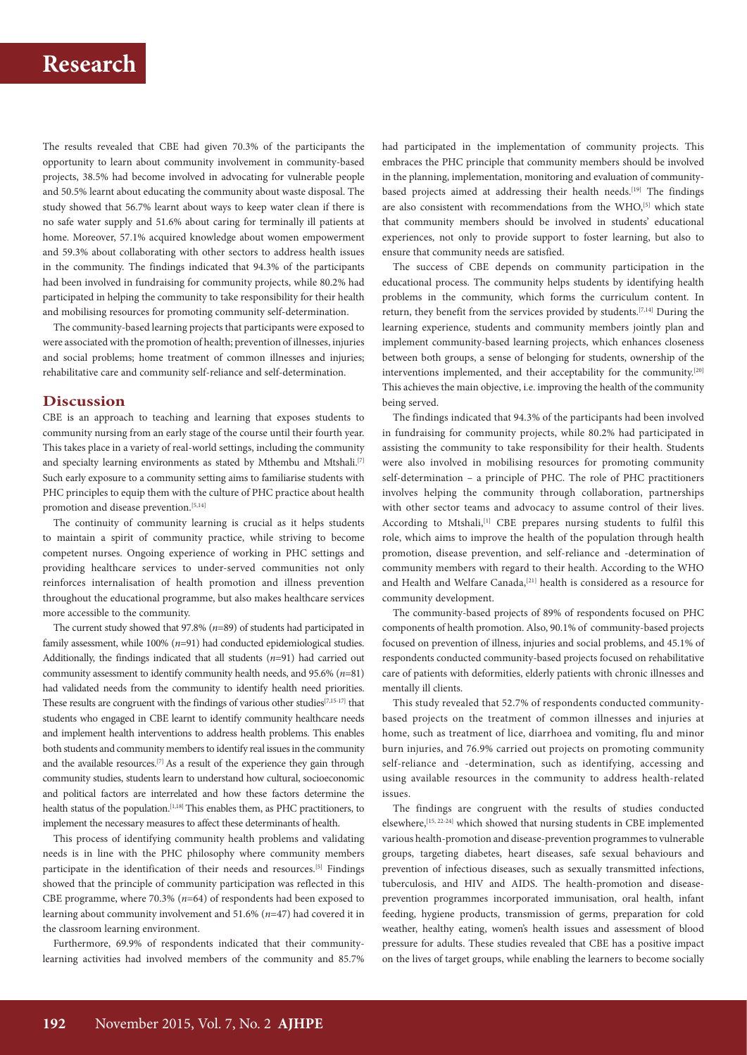The results revealed that CBE had given 70.3% of the participants the opportunity to learn about community involvement in community-based projects, 38.5% had become involved in advocating for vulnerable people and 50.5% learnt about educating the community about waste disposal. The study showed that 56.7% learnt about ways to keep water clean if there is no safe water supply and 51.6% about caring for terminally ill patients at home. Moreover, 57.1% acquired knowledge about women empowerment and 59.3% about collaborating with other sectors to address health issues in the community. The findings indicated that 94.3% of the participants had been involved in fundraising for community projects, while 80.2% had participated in helping the community to take responsibility for their health and mobilising resources for promoting community self-determination.

The community-based learning projects that participants were exposed to were associated with the promotion of health; prevention of illnesses, injuries and social problems; home treatment of common illnesses and injuries; rehabilitative care and community self-reliance and self-determination.

#### **Discussion**

CBE is an approach to teaching and learning that exposes students to community nursing from an early stage of the course until their fourth year. This takes place in a variety of real-world settings, including the community and specialty learning environments as stated by Mthembu and Mtshali.<sup>[7]</sup> Such early exposure to a community setting aims to familiarise students with PHC principles to equip them with the culture of PHC practice about health promotion and disease prevention.<sup>[5,14]</sup>

The continuity of community learning is crucial as it helps students to maintain a spirit of community practice, while striving to become competent nurses. Ongoing experience of working in PHC settings and providing healthcare services to under-served communities not only reinforces internalisation of health promotion and illness prevention throughout the educational programme, but also makes healthcare services more accessible to the community.

The current study showed that 97.8% (*n*=89) of students had participated in family assessment, while 100% (*n*=91) had conducted epidemiological studies. Additionally, the findings indicated that all students (*n*=91) had carried out community assessment to identify community health needs, and 95.6% (*n*=81) had validated needs from the community to identify health need priorities. These results are congruent with the findings of various other studies<sup>[7,15-17]</sup> that students who engaged in CBE learnt to identify community healthcare needs and implement health interventions to address health problems. This enables both students and community members to identify real issues in the community and the available resources.<sup>[7]</sup> As a result of the experience they gain through community studies, students learn to understand how cultural, socioeconomic and political factors are interrelated and how these factors determine the health status of the population.<sup>[1,18]</sup> This enables them, as PHC practitioners, to implement the necessary measures to affect these determinants of health.

This process of identifying community health problems and validating needs is in line with the PHC philosophy where community members participate in the identification of their needs and resources.[5] Findings showed that the principle of community participation was reflected in this CBE programme, where 70.3% (*n*=64) of respondents had been exposed to learning about community involvement and 51.6% (*n*=47) had covered it in the classroom learning environment.

Furthermore, 69.9% of respondents indicated that their communitylearning activities had involved members of the community and 85.7% had participated in the implementation of community projects. This embraces the PHC principle that community members should be involved in the planning, implementation, monitoring and evaluation of communitybased projects aimed at addressing their health needs.<sup>[19]</sup> The findings are also consistent with recommendations from the WHO,<sup>[5]</sup> which state that community members should be involved in students' educational experiences, not only to provide support to foster learning, but also to ensure that community needs are satisfied.

The success of CBE depends on community participation in the educational process. The community helps students by identifying health problems in the community, which forms the curriculum content. In return, they benefit from the services provided by students.[7,14] During the learning experience, students and community members jointly plan and implement community-based learning projects, which enhances closeness between both groups, a sense of belonging for students, ownership of the interventions implemented, and their acceptability for the community.<sup>[20]</sup> This achieves the main objective, i.e. improving the health of the community being served.

The findings indicated that 94.3% of the participants had been involved in fundraising for community projects, while 80.2% had participated in assisting the community to take responsibility for their health. Students were also involved in mobilising resources for promoting community self-determination – a principle of PHC. The role of PHC practitioners involves helping the community through collaboration, partnerships with other sector teams and advocacy to assume control of their lives. According to Mtshali,<sup>[1]</sup> CBE prepares nursing students to fulfil this role, which aims to improve the health of the population through health promotion, disease prevention, and self-reliance and -determination of community members with regard to their health. According to the WHO and Health and Welfare Canada,<sup>[21]</sup> health is considered as a resource for community development.

The community-based projects of 89% of respondents focused on PHC components of health promotion. Also, 90.1% of community-based projects focused on prevention of illness, injuries and social problems, and 45.1% of respondents conducted community-based projects focused on rehabilitative care of patients with deformities, elderly patients with chronic illnesses and mentally ill clients.

This study revealed that 52.7% of respondents conducted communitybased projects on the treatment of common illnesses and injuries at home, such as treatment of lice, diarrhoea and vomiting, flu and minor burn injuries, and 76.9% carried out projects on promoting community self-reliance and -determination, such as identifying, accessing and using available resources in the community to address health-related issues.

The findings are congruent with the results of studies conducted elsewhere,[15, 22-24] which showed that nursing students in CBE implemented various health-promotion and disease-prevention programmes to vulnerable groups, targeting diabetes, heart diseases, safe sexual behaviours and prevention of infectious diseases, such as sexually transmitted infections, tuberculosis, and HIV and AIDS. The health-promotion and diseaseprevention programmes incorporated immunisation, oral health, infant feeding, hygiene products, transmission of germs, preparation for cold weather, healthy eating, women's health issues and assessment of blood pressure for adults. These studies revealed that CBE has a positive impact on the lives of target groups, while enabling the learners to become socially